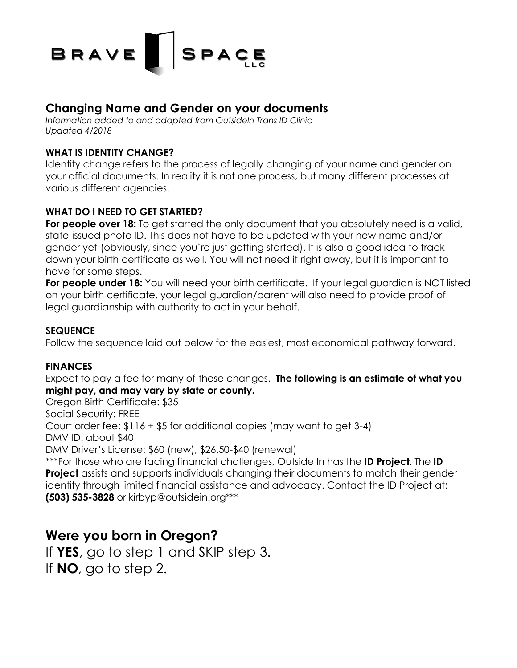

## **Changing Name and Gender on your documents**

*Information added to and adapted from OutsideIn Trans ID Clinic Updated 4/2018*

#### **WHAT IS IDENTITY CHANGE?**

Identity change refers to the process of legally changing of your name and gender on your official documents. In reality it is not one process, but many different processes at various different agencies.

#### **WHAT DO I NEED TO GET STARTED?**

**For people over 18:** To get started the only document that you absolutely need is a valid, state-issued photo ID. This does not have to be updated with your new name and/or gender yet (obviously, since you're just getting started). It is also a good idea to track down your birth certificate as well. You will not need it right away, but it is important to have for some steps.

**For people under 18:** You will need your birth certificate. If your legal guardian is NOT listed on your birth certificate, your legal guardian/parent will also need to provide proof of legal guardianship with authority to act in your behalf.

#### **SEQUENCE**

Follow the sequence laid out below for the easiest, most economical pathway forward.

#### **FINANCES**

Expect to pay a fee for many of these changes. **The following is an estimate of what you might pay, and may vary by state or county.**

Oregon Birth Certificate: \$35

Social Security: FREE

Court order fee: \$116 + \$5 for additional copies (may want to get 3-4)

DMV ID: about \$40

DMV Driver's License: \$60 (new), \$26.50-\$40 (renewal)

\*\*\*For those who are facing financial challenges, Outside In has the **ID Project**. The **ID Project** assists and supports individuals changing their documents to match their gender identity through limited financial assistance and advocacy. Contact the ID Project at: **(503) 535-3828** or kirbyp@outsidein.org\*\*\*

# **Were you born in Oregon?**

If **YES**, go to step 1 and SKIP step 3. If **NO**, go to step 2.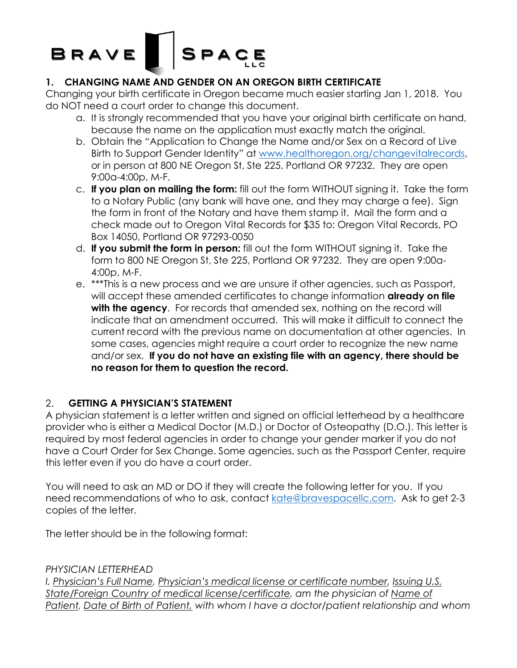# BRAVE SPACE

### **1. CHANGING NAME AND GENDER ON AN OREGON BIRTH CERTIFICATE**

Changing your birth certificate in Oregon became much easier starting Jan 1, 2018. You do NOT need a court order to change this document.

- a. It is strongly recommended that you have your original birth certificate on hand, because the name on the application must exactly match the original.
- b. Obtain the "Application to Change the Name and/or Sex on a Record of Live Birth to Support Gender Identity" at www.healthoregon.org/changevitalrecords, or in person at 800 NE Oregon St, Ste 225, Portland OR 97232. They are open 9:00a-4:00p, M-F.
- c. **If you plan on mailing the form:** fill out the form WITHOUT signing it. Take the form to a Notary Public (any bank will have one, and they may charge a fee). Sign the form in front of the Notary and have them stamp it. Mail the form and a check made out to Oregon Vital Records for \$35 to: Oregon Vital Records, PO Box 14050, Portland OR 97293-0050
- d. **If you submit the form in person:** fill out the form WITHOUT signing it. Take the form to 800 NE Oregon St, Ste 225, Portland OR 97232. They are open 9:00a-4:00p, M-F.
- e. \*\*\*This is a new process and we are unsure if other agencies, such as Passport, will accept these amended certificates to change information **already on file with the agency**. For records that amended sex, nothing on the record will indicate that an amendment occurred. This will make it difficult to connect the current record with the previous name on documentation at other agencies. In some cases, agencies might require a court order to recognize the new name and/or sex. **If you do not have an existing file with an agency, there should be no reason for them to question the record.**

### 2. **GETTING A PHYSICIAN'S STATEMENT**

A physician statement is a letter written and signed on official letterhead by a healthcare provider who is either a Medical Doctor (M.D.) or Doctor of Osteopathy (D.O.). This letter is required by most federal agencies in order to change your gender marker if you do not have a Court Order for Sex Change. Some agencies, such as the Passport Center, require this letter even if you do have a court order.

You will need to ask an MD or DO if they will create the following letter for you. If you need recommendations of who to ask, contact kate@bravespacellc.com. Ask to get 2-3 copies of the letter.

The letter should be in the following format:

### *PHYSICIAN LETTERHEAD*

*I, Physician's Full Name, Physician's medical license or certificate number, Issuing U.S. State/Foreign Country of medical license/certificate, am the physician of Name of Patient, Date of Birth of Patient, with whom I have a doctor/patient relationship and whom*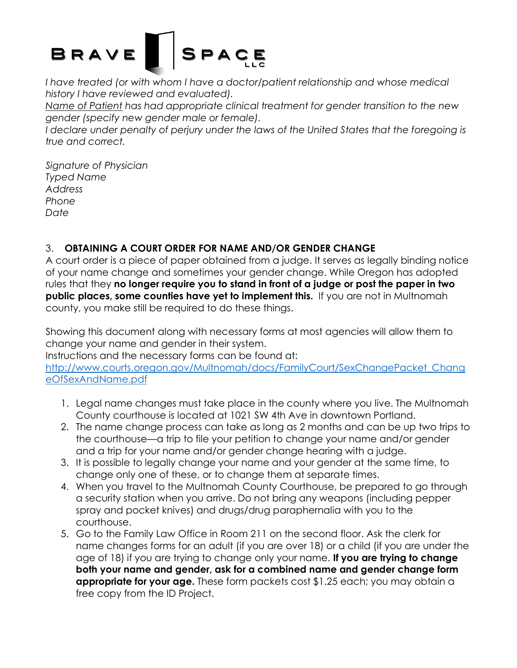# SPACE **BRAVE**

I have treated (or with whom I have a doctor/patient relationship and whose medical *history I have reviewed and evaluated).*

*Name of Patient has had appropriate clinical treatment for gender transition to the new gender (specify new gender male or female).*

I declare under penalty of perjury under the laws of the United States that the foregoing is *true and correct.*

*Signature of Physician Typed Name Address Phone Date*

### 3. **OBTAINING A COURT ORDER FOR NAME AND/OR GENDER CHANGE**

A court order is a piece of paper obtained from a judge. It serves as legally binding notice of your name change and sometimes your gender change. While Oregon has adopted rules that they **no longer require you to stand in front of a judge or post the paper in two public places, some counties have yet to implement this.** If you are not in Multnomah county, you make still be required to do these things.

Showing this document along with necessary forms at most agencies will allow them to change your name and gender in their system.

Instructions and the necessary forms can be found at:

http://www.courts.oregon.gov/Multnomah/docs/FamilyCourt/SexChangePacket\_Chang eOfSexAndName.pdf

- 1. Legal name changes must take place in the county where you live. The Multnomah County courthouse is located at 1021 SW 4th Ave in downtown Portland.
- 2. The name change process can take as long as 2 months and can be up two trips to the courthouse—a trip to file your petition to change your name and/or gender and a trip for your name and/or gender change hearing with a judge.
- 3. It is possible to legally change your name and your gender at the same time, to change only one of these, or to change them at separate times.
- 4. When you travel to the Multnomah County Courthouse, be prepared to go through a security station when you arrive. Do not bring any weapons (including pepper spray and pocket knives) and drugs/drug paraphernalia with you to the courthouse.
- 5. Go to the Family Law Office in Room 211 on the second floor. Ask the clerk for name changes forms for an adult (if you are over 18) or a child (if you are under the age of 18) if you are trying to change only your name. **If you are trying to change both your name and gender, ask for a combined name and gender change form appropriate for your age.** These form packets cost \$1.25 each; you may obtain a free copy from the ID Project.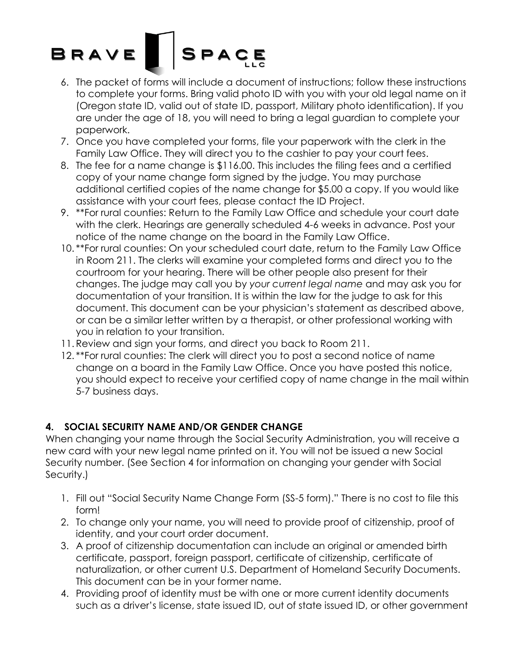# SPACE BRAVE

- 6. The packet of forms will include a document of instructions; follow these instructions to complete your forms. Bring valid photo ID with you with your old legal name on it (Oregon state ID, valid out of state ID, passport, Military photo identification). If you are under the age of 18, you will need to bring a legal guardian to complete your paperwork.
- 7. Once you have completed your forms, file your paperwork with the clerk in the Family Law Office. They will direct you to the cashier to pay your court fees.
- 8. The fee for a name change is \$116.00. This includes the filing fees and a certified copy of your name change form signed by the judge. You may purchase additional certified copies of the name change for \$5.00 a copy. If you would like assistance with your court fees, please contact the ID Project.
- 9. \*\*For rural counties: Return to the Family Law Office and schedule your court date with the clerk. Hearings are generally scheduled 4-6 weeks in advance. Post your notice of the name change on the board in the Family Law Office.
- 10. \*\*For rural counties: On your scheduled court date, return to the Family Law Office in Room 211. The clerks will examine your completed forms and direct you to the courtroom for your hearing. There will be other people also present for their changes. The judge may call you by *your current legal name* and may ask you for documentation of your transition. It is within the law for the judge to ask for this document. This document can be your physician's statement as described above, or can be a similar letter written by a therapist, or other professional working with you in relation to your transition.
- 11. Review and sign your forms, and direct you back to Room 211.
- 12. \*\*For rural counties: The clerk will direct you to post a second notice of name change on a board in the Family Law Office. Once you have posted this notice, you should expect to receive your certified copy of name change in the mail within 5-7 business days.

### **4. SOCIAL SECURITY NAME AND/OR GENDER CHANGE**

When changing your name through the Social Security Administration, you will receive a new card with your new legal name printed on it. You will not be issued a new Social Security number. (See Section 4 for information on changing your gender with Social Security.)

- 1. Fill out "Social Security Name Change Form (SS-5 form)." There is no cost to file this form!
- 2. To change only your name, you will need to provide proof of citizenship, proof of identity, and your court order document.
- 3. A proof of citizenship documentation can include an original or amended birth certificate, passport, foreign passport, certificate of citizenship, certificate of naturalization, or other current U.S. Department of Homeland Security Documents. This document can be in your former name.
- 4. Providing proof of identity must be with one or more current identity documents such as a driver's license, state issued ID, out of state issued ID, or other government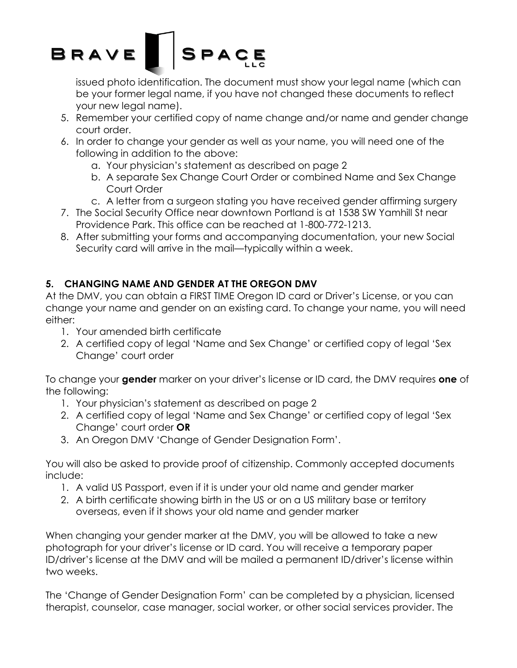

issued photo identification. The document must show your legal name (which can be your former legal name, if you have not changed these documents to reflect your new legal name).

- 5. Remember your certified copy of name change and/or name and gender change court order.
- 6. In order to change your gender as well as your name, you will need one of the following in addition to the above:
	- a. Your physician's statement as described on page 2
	- b. A separate Sex Change Court Order or combined Name and Sex Change Court Order
	- c. A letter from a surgeon stating you have received gender affirming surgery
- 7. The Social Security Office near downtown Portland is at 1538 SW Yamhill St near Providence Park. This office can be reached at 1-800-772-1213.
- 8. After submitting your forms and accompanying documentation, your new Social Security card will arrive in the mail—typically within a week.

### **5. CHANGING NAME AND GENDER AT THE OREGON DMV**

At the DMV, you can obtain a FIRST TIME Oregon ID card or Driver's License, or you can change your name and gender on an existing card. To change your name, you will need either:

- 1. Your amended birth certificate
- 2. A certified copy of legal 'Name and Sex Change' or certified copy of legal 'Sex Change' court order

To change your **gender** marker on your driver's license or ID card, the DMV requires **one** of the following:

- 1. Your physician's statement as described on page 2
- 2. A certified copy of legal 'Name and Sex Change' or certified copy of legal 'Sex Change' court order **OR**
- 3. An Oregon DMV 'Change of Gender Designation Form'.

You will also be asked to provide proof of citizenship. Commonly accepted documents include:

- 1. A valid US Passport, even if it is under your old name and gender marker
- 2. A birth certificate showing birth in the US or on a US military base or territory overseas, even if it shows your old name and gender marker

When changing your gender marker at the DMV, you will be allowed to take a new photograph for your driver's license or ID card. You will receive a temporary paper ID/driver's license at the DMV and will be mailed a permanent ID/driver's license within two weeks.

The 'Change of Gender Designation Form' can be completed by a physician, licensed therapist, counselor, case manager, social worker, or other social services provider. The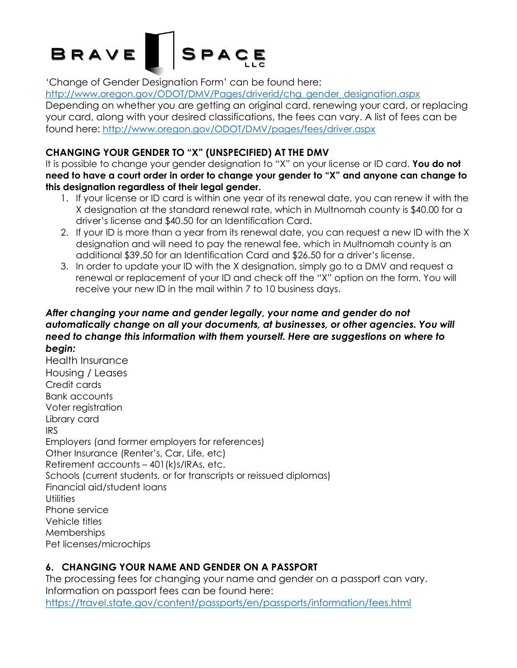# **BRAVE** SPACE

'Change of Gender Designation Form' can be found here:

http://www.oregon.gov/ODOT/DMV/Pages/driverid/chg\_gender\_designation.aspx Depending on whether you are getting an original card, renewing your card, or replacing your card, along with your desired classifications, the fees can vary. A list of fees can be found here: http://www.oregon.gov/ODOT/DMV/pages/fees/driver.aspx

### **CHANGING YOUR GENDER TO "X" (UNSPECIFIED) AT THE DMV**

It is possible to change your gender designation to "X" on your license or ID card. **You do not need to have a court order in order to change your gender to "X" and anyone can change to this designation regardless of their legal gender.**

- 1. If your license or ID card is within one year of its renewal date, you can renew it with the X designation at the standard renewal rate, which in Multnomah county is \$40.00 for a driver's license and \$40.50 for an Identification Card.
- 2. If your ID is more than a year from its renewal date, you can request a new ID with the X designation and will need to pay the renewal fee, which in Multnomah county is an additional \$39.50 for an Identification Card and \$26.50 for a driver's license.
- 3. In order to update your ID with the X designation, simply go to a DMV and request a renewal or replacement of your ID and check off the "X" option on the form. You will receive your new ID in the mail within 7 to 10 business days.

#### *After changing your name and gender legally, your name and gender do not automatically change on all your documents, at businesses, or other agencies. You will need to change this information with them yourself. Here are suggestions on where to begin:*

Health Insurance Housing / Leases Credit cards Bank accounts Voter registration Library card IRS Employers (and former employers for references) Other Insurance (Renter's, Car, Life, etc) Retirement accounts – 401(k)s/IRAs, etc. Schools (current students, or for transcripts or reissued diplomas) Financial aid/student loans **Utilities** Phone service Vehicle titles **Memberships** Pet licenses/microchips

### **6. CHANGING YOUR NAME AND GENDER ON A PASSPORT**

The processing fees for changing your name and gender on a passport can vary. Information on passport fees can be found here: https://travel.state.gov/content/passports/en/passports/information/fees.html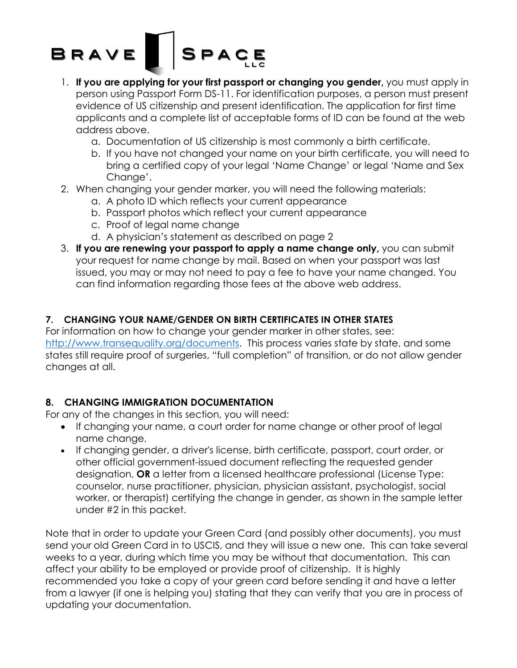# SPACE BRAVE

- 1. **If you are applying for your first passport or changing you gender,** you must apply in person using Passport Form DS-11. For identification purposes, a person must present evidence of US citizenship and present identification. The application for first time applicants and a complete list of acceptable forms of ID can be found at the web address above.
	- a. Documentation of US citizenship is most commonly a birth certificate.
	- b. If you have not changed your name on your birth certificate, you will need to bring a certified copy of your legal 'Name Change' or legal 'Name and Sex Chanae'.
- 2. When changing your gender marker, you will need the following materials:
	- a. A photo ID which reflects your current appearance
	- b. Passport photos which reflect your current appearance
	- c. Proof of legal name change
	- d. A physician's statement as described on page 2
- 3. **If you are renewing your passport to apply a name change only,** you can submit your request for name change by mail. Based on when your passport was last issued, you may or may not need to pay a fee to have your name changed. You can find information regarding those fees at the above web address.

#### **7. CHANGING YOUR NAME/GENDER ON BIRTH CERTIFICATES IN OTHER STATES**

For information on how to change your gender marker in other states, see: http://www.transequality.org/documents. This process varies state by state, and some states still require proof of surgeries, "full completion" of transition, or do not allow gender changes at all.

### **8. CHANGING IMMIGRATION DOCUMENTATION**

For any of the changes in this section, you will need:

- If changing your name, a court order for name change or other proof of legal name change.
- If changing gender, a driver's license, birth certificate, passport, court order, or other official government-issued document reflecting the requested gender designation, **OR** a letter from a licensed healthcare professional (License Type: counselor, nurse practitioner, physician, physician assistant, psychologist, social worker, or therapist) certifying the change in gender, as shown in the sample letter under #2 in this packet.

Note that in order to update your Green Card (and possibly other documents), you must send your old Green Card in to USCIS, and they will issue a new one. This can take several weeks to a year, during which time you may be without that documentation. This can affect your ability to be employed or provide proof of citizenship. It is highly recommended you take a copy of your green card before sending it and have a letter from a lawyer (if one is helping you) stating that they can verify that you are in process of updating your documentation.